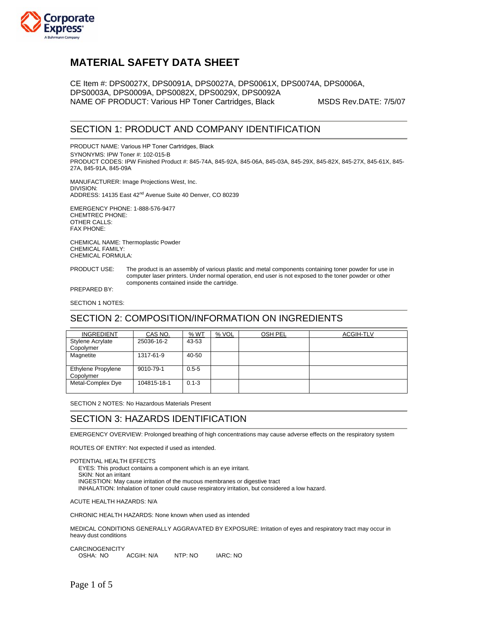

# **MATERIAL SAFETY DATA SHEET**

CE Item #: DPS0027X, DPS0091A, DPS0027A, DPS0061X, DPS0074A, DPS0006A, DPS0003A, DPS0009A, DPS0082X, DPS0029X, DPS0092A NAME OF PRODUCT: Various HP Toner Cartridges, Black MSDS Rev.DATE: 7/5/07

### SECTION 1: PRODUCT AND COMPANY IDENTIFICATION

PRODUCT NAME: Various HP Toner Cartridges, Black SYNONYMS: IPW Toner #: 102-015-B PRODUCT CODES: IPW Finished Product #: 845-74A, 845-92A, 845-06A, 845-03A, 845-29X, 845-82X, 845-27X, 845-61X, 845- 27A, 845-91A, 845-09A

MANUFACTURER: Image Projections West, Inc. DIVISION: ADDRESS: 14135 East 42<sup>nd</sup> Avenue Suite 40 Denver, CO 80239

EMERGENCY PHONE: 1-888-576-9477 CHEMTREC PHONE: OTHER CALLS: FAX PHONE:

CHEMICAL NAME: Thermoplastic Powder CHEMICAL FAMILY: CHEMICAL FORMULA:

PRODUCT USE: The product is an assembly of various plastic and metal components containing toner powder for use in computer laser printers. Under normal operation, end user is not exposed to the toner powder or other components contained inside the cartridge.

PREPARED BY:

SECTION 1 NOTES:

#### SECTION 2: COMPOSITION/INFORMATION ON INGREDIENTS

| <b>INGREDIENT</b>                    | CAS NO.     | % WT      | % VOL | OSH PEL | <b>ACGIH-TLV</b> |
|--------------------------------------|-------------|-----------|-------|---------|------------------|
| <b>Stylene Acrylate</b><br>Copolymer | 25036-16-2  | 43-53     |       |         |                  |
| Magnetite                            | 1317-61-9   | 40-50     |       |         |                  |
| Ethylene Propylene<br>Copolymer      | 9010-79-1   | $0.5 - 5$ |       |         |                  |
| Metal-Complex Dye                    | 104815-18-1 | $0.1 - 3$ |       |         |                  |

SECTION 2 NOTES: No Hazardous Materials Present

### SECTION 3: HAZARDS IDENTIFICATION

EMERGENCY OVERVIEW: Prolonged breathing of high concentrations may cause adverse effects on the respiratory system

ROUTES OF ENTRY: Not expected if used as intended.

POTENTIAL HEALTH EFFECTS EYES: This product contains a component which is an eye irritant. SKIN: Not an irritant INGESTION: May cause irritation of the mucous membranes or digestive tract INHALATION: Inhalation of toner could cause respiratory irritation, but considered a low hazard.

ACUTE HEALTH HAZARDS: N/A

CHRONIC HEALTH HAZARDS: None known when used as intended

MEDICAL CONDITIONS GENERALLY AGGRAVATED BY EXPOSURE: Irritation of eyes and respiratory tract may occur in heavy dust conditions

**CARCINOGENICITY** OSHA: NO ACGIH: N/A NTP: NO IARC: NO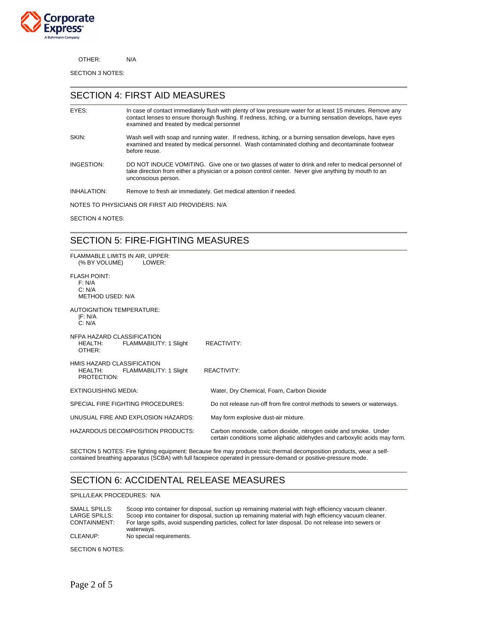

OTHER: N/A

SECTION 3 NOTES:

#### SECTION 4: FIRST AID MEASURES

| EYES:                                           | In case of contact immediately flush with plenty of low pressure water for at least 15 minutes. Remove any<br>contact lenses to ensure thorough flushing. If redness, itching, or a burning sensation develops, have eyes<br>examined and treated by medical personnel |  |  |  |
|-------------------------------------------------|------------------------------------------------------------------------------------------------------------------------------------------------------------------------------------------------------------------------------------------------------------------------|--|--|--|
| SKIN:                                           | Wash well with soap and running water. If redness, itching, or a burning sensation develops, have eyes<br>examined and treated by medical personnel. Wash contaminated clothing and decontaminate footwear<br>before reuse.                                            |  |  |  |
| INGESTION:                                      | DO NOT INDUCE VOMITING. Give one or two glasses of water to drink and refer to medical personnel of<br>take direction from either a physician or a poison control center. Never give anything by mouth to an<br>unconscious person.                                    |  |  |  |
| INHALATION:                                     | Remove to fresh air immediately. Get medical attention if needed.                                                                                                                                                                                                      |  |  |  |
| NOTES TO PHYSICIANS OR FIRST AID PROVIDERS: N/A |                                                                                                                                                                                                                                                                        |  |  |  |

SECTION 4 NOTES:

#### SECTION 5: FIRE-FIGHTING MEASURES

| FLAMMABLE LIMITS IN AIR, UPPER:<br>(% BY VOLUME)<br>LOWER:                       |                                                                                                                                                |
|----------------------------------------------------------------------------------|------------------------------------------------------------------------------------------------------------------------------------------------|
| <b>FLASH POINT:</b><br>F: N/A<br>C: N/A<br><b>METHOD USED: N/A</b>               |                                                                                                                                                |
| <b>AUTOIGNITION TEMPERATURE:</b><br>IF: N/A<br>C: N/A                            |                                                                                                                                                |
| NFPA HAZARD CLASSIFICATION<br><b>HEALTH:</b><br>FLAMMABILITY: 1 Slight<br>OTHER: | <b>REACTIVITY:</b>                                                                                                                             |
| HMIS HAZARD CLASSIFICATION<br>FLAMMABILITY: 1 Slight<br>HEALTH:<br>PROTECTION:   | <b>REACTIVITY:</b>                                                                                                                             |
| <b>EXTINGUISHING MEDIA:</b>                                                      | Water, Dry Chemical, Foam, Carbon Dioxide                                                                                                      |
| <b>SPECIAL FIRE FIGHTING PROCEDURES:</b>                                         | Do not release run-off from fire control methods to sewers or waterways.                                                                       |
| UNUSUAL FIRE AND EXPLOSION HAZARDS:                                              | May form explosive dust-air mixture.                                                                                                           |
| HAZARDOUS DECOMPOSITION PRODUCTS:                                                | Carbon monoxide, carbon dioxide, nitrogen oxide and smoke. Under<br>certain conditions some aliphatic aldehydes and carboxylic acids may form. |

SECTION 5 NOTES: Fire fighting equipment: Because fire may produce toxic thermal decomposition products, wear a selfcontained breathing apparatus (SCBA) with full facepiece operated in pressure-demand or positive-pressure mode.

### SECTION 6: ACCIDENTAL RELEASE MEASURES

SPILL/LEAK PROCEDURES: N/A

SMALL SPILLS: Scoop into container for disposal, suction up remaining material with high efficiency vacuum cleaner.<br>LARGE SPILLS: Scoop into container for disposal, suction up remaining material with high efficiency vacuum LARGE SPILLS: Scoop into container for disposal, suction up remaining material with high efficiency vacuum cleaner.<br>CONTAINMENT: For large spills, avoid suspending particles, collect for later disposal. Do not release into For large spills, avoid suspending particles, collect for later disposal. Do not release into sewers or waterways. CLEANUP: No special requirements.

SECTION 6 NOTES: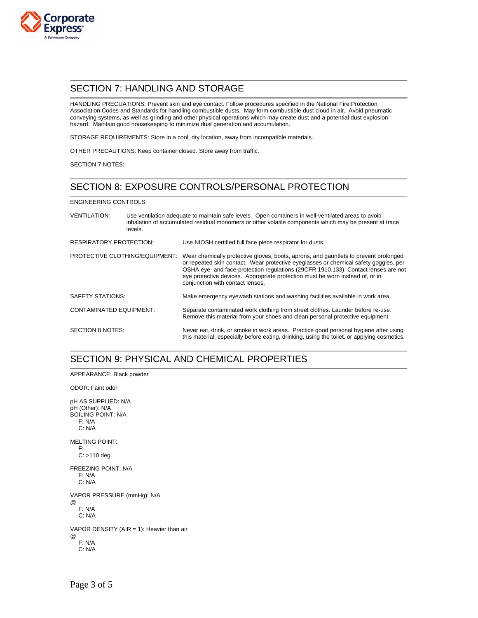

#### SECTION 7: HANDLING AND STORAGE

HANDLING PRECUATIONS: Prevent skin and eye contact. Follow procedures specified in the National Fire Protection Association Codes and Standards for handling combustible dusts. May form combustible dust cloud in air. Avoid pneumatic conveying systems, as well as grinding and other physical operations which may create dust and a potential dust explosion hazard. Maintain good housekeeping to minimize dust generation and accumulation.

STORAGE REQUIREMENTS: Store in a cool, dry location, away from incompatible materials.

OTHER PRECAUTIONS: Keep container closed. Store away from traffic.

SECTION 7 NOTES:

## SECTION 8: EXPOSURE CONTROLS/PERSONAL PROTECTION

ENGINEERING CONTROLS:

| <b>VENTILATION:</b>                   | Use ventilation adequate to maintain safe levels. Open containers in well-ventilated areas to avoid<br>inhalation of accumulated residual monomers or other volatile components which may be present at trace<br>levels. |                                                                                                                                                                                                                                                                                                                                                                                         |  |
|---------------------------------------|--------------------------------------------------------------------------------------------------------------------------------------------------------------------------------------------------------------------------|-----------------------------------------------------------------------------------------------------------------------------------------------------------------------------------------------------------------------------------------------------------------------------------------------------------------------------------------------------------------------------------------|--|
| <b>RESPIRATORY PROTECTION:</b>        |                                                                                                                                                                                                                          | Use NIOSH certified full face piece respirator for dusts.                                                                                                                                                                                                                                                                                                                               |  |
| <b>PROTECTIVE CLOTHING/EQUIPMENT:</b> |                                                                                                                                                                                                                          | Wear chemically protective gloves, boots, aprons, and gauntlets to prevent prolonged<br>or repeated skin contact. Wear protective eyeglasses or chemical safety goggles, per<br>OSHA eye- and face-protection regulations (29CFR 1910.133). Contact lenses are not<br>eye protective devices. Appropriate protection must be worn instead of, or in<br>conjunction with contact lenses. |  |
| <b>SAFETY STATIONS:</b>               |                                                                                                                                                                                                                          | Make emergency eyewash stations and washing facilities available in work area.                                                                                                                                                                                                                                                                                                          |  |
| <b>CONTAMINATED EQUIPMENT:</b>        |                                                                                                                                                                                                                          | Separate contaminated work clothing from street clothes. Launder before re-use.<br>Remove this material from your shoes and clean personal protective equipment.                                                                                                                                                                                                                        |  |
| SECTION 8 NOTES:                      |                                                                                                                                                                                                                          | Never eat, drink, or smoke in work areas. Practice good personal hygiene after using<br>this material, especially before eating, drinking, using the toilet, or applying cosmetics.                                                                                                                                                                                                     |  |

### SECTION 9: PHYSICAL AND CHEMICAL PROPERTIES

APPEARANCE: Black powder ODOR: Faint odor pH AS SUPPLIED: N/A pH (Other): N/A BOILING POINT: N/A F: N/A C: N/A MELTING POINT: F: C: >110 deg. FREEZING POINT: N/A F: N/A C: N/A VAPOR PRESSURE (mmHg): N/A @ F: N/A C: N/A VAPOR DENSITY (AIR = 1): Heavier than air @ F: N/A C: N/A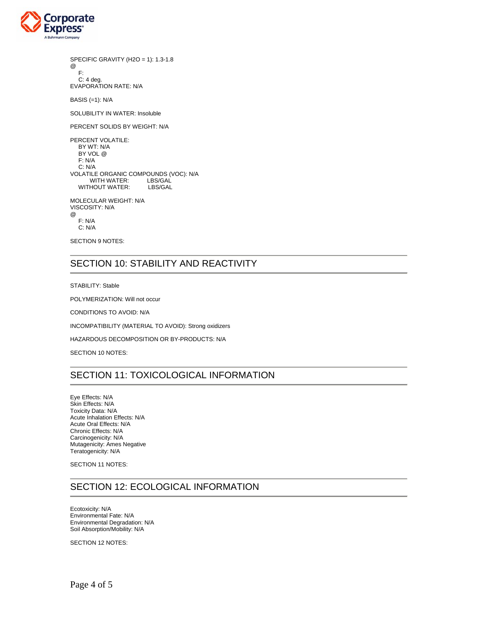

SPECIFIC GRAVITY (H2O = 1): 1.3-1.8 @ F:

 C: 4 deg. EVAPORATION RATE: N/A

BASIS (=1): N/A

SOLUBILITY IN WATER: Insoluble

PERCENT SOLIDS BY WEIGHT: N/A

PERCENT VOLATILE: BY WT: N/A BY VOL @ F: N/A C: N/A VOLATILE ORGANIC COMPOUNDS (VOC): N/A WITH WATER: LBS/GAL WITHOUT WATER:

MOLECULAR WEIGHT: N/A VISCOSITY: N/A @ F: N/A C: N/A

SECTION 9 NOTES:

### SECTION 10: STABILITY AND REACTIVITY

STABILITY: Stable

POLYMERIZATION: Will not occur

CONDITIONS TO AVOID: N/A

INCOMPATIBILITY (MATERIAL TO AVOID): Strong oxidizers

HAZARDOUS DECOMPOSITION OR BY-PRODUCTS: N/A

SECTION 10 NOTES:

## SECTION 11: TOXICOLOGICAL INFORMATION

Eye Effects: N/A Skin Effects: N/A Toxicity Data: N/A Acute Inhalation Effects: N/A Acute Oral Effects: N/A Chronic Effects: N/A Carcinogenicity: N/A Mutagenicity: Ames Negative Teratogenicity: N/A

SECTION 11 NOTES:

#### SECTION 12: ECOLOGICAL INFORMATION

Ecotoxicity: N/A Environmental Fate: N/A Environmental Degradation: N/A Soil Absorption/Mobility: N/A

SECTION 12 NOTES: